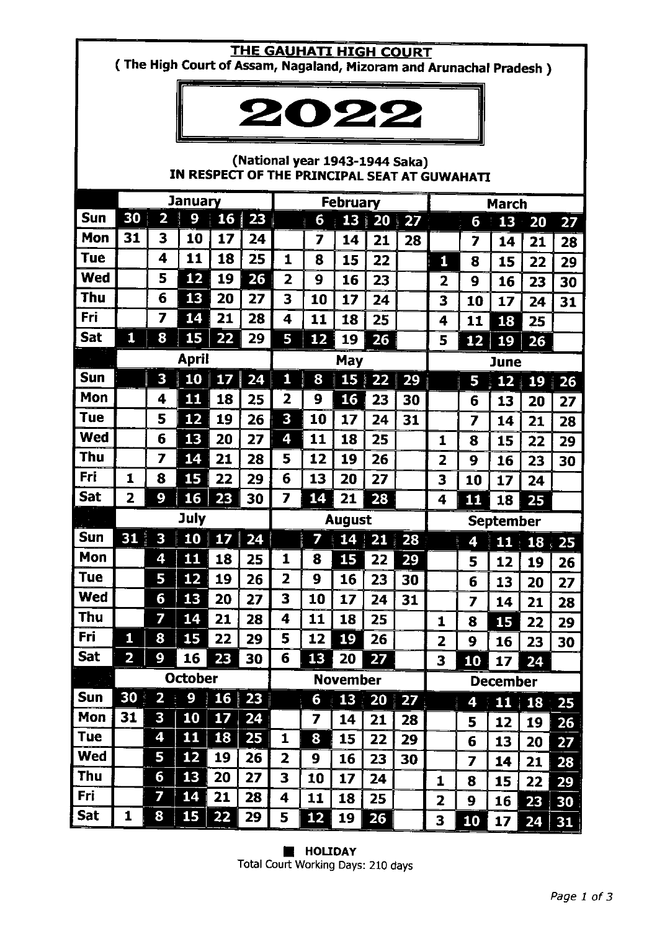# THE GAUHATI HIGH COURT

(The High Court of Assam, Nagaland, Mizoram and Arunachal Pradesh)



### (National year 1943-1944 Saka) IN RESPECT OF THE PRINCIPAL SEAT AT GUWAHATI

|             | <b>January</b>          |                         |                |    | <b>February</b> |                         |        |           |                                   | <b>March</b>   |                         |        |                 |               |                  |  |
|-------------|-------------------------|-------------------------|----------------|----|-----------------|-------------------------|--------|-----------|-----------------------------------|----------------|-------------------------|--------|-----------------|---------------|------------------|--|
| Sun         | 30                      | $\overline{\mathbf{2}}$ | 9              | 16 | 23              |                         | 6      | 13        | 20 <sub>1</sub>                   | 27             |                         | 6      | 13              | 20            | 27               |  |
| Mon         | 31                      | 3                       | 10             | 17 | 24              |                         | 7      | 14        | 21                                | 28             |                         | 7      | 14              | 21            | 28               |  |
| Tue         |                         | 4                       | 11             | 18 | 25              | 1                       | 8      | 15        | 22                                |                | 1                       | 8      | 15              | 22            | 29               |  |
| <b>Wed</b>  |                         | 5                       | 12             | 19 | 26              | $\overline{\mathbf{2}}$ | 9      | 16        | 23                                |                | 2                       | 9      | 16              | 23            | 30               |  |
| Thu         |                         | 6                       | 13             | 20 | 27              | 3                       | 10     | 17        | 24                                |                | 3                       | 10     | 17              | 24            | 31               |  |
| Fri         |                         | 7                       | 14             | 21 | 28              | 4                       | 11     | 18        | 25                                |                | 4                       | 11     | 18              | 25            |                  |  |
| Sat         | 1                       | 8                       | 15             | 22 | 29              | 5                       | 12     | 19        | 26                                |                | 5                       | 12     | 19              | 26            |                  |  |
|             | <b>April</b>            |                         |                |    |                 | May                     |        |           |                                   |                | <b>June</b>             |        |                 |               |                  |  |
| Sun         |                         | 3                       | 10             | 17 | 24              | 1                       | 8      |           | $15 \overline{\smash{\big)}\ 22}$ | 29             |                         | 5      | 12              | 19            | 26               |  |
| Mon         |                         | 4                       | 11             | 18 | 25              | 2                       | 9      | <b>16</b> | 23                                | 30             |                         | 6      | 13              | 20            | 27               |  |
| <b>Tue</b>  |                         | 5                       | 12             | 19 | 26              | 3                       | 10     | 17        | 24                                | 31             |                         | 7      | 14              | 21            | 28               |  |
| <b>Wed</b>  |                         | 6                       | 13             | 20 | 27              | 4                       | 11     | 18        | 25                                |                | 1                       | 8      | 15              | 22            | 29               |  |
| Thu         |                         | 7                       | 14             | 21 | 28              | 5                       | 12     | 19        | 26                                |                | $\overline{\mathbf{z}}$ | 9      | 16              | 23            | 30               |  |
| Fri         | 1                       | 8                       | 15             | 22 | 29              | 6                       | 13     | 20        | 27                                |                | 3                       | 10     | 17              | 24            |                  |  |
| <b>Sat</b>  | $\overline{\mathbf{2}}$ | 9                       | 16             | 23 | 30              | 7                       | 14     | 21        | 28                                |                | 4                       | 11     | 18              | 25            |                  |  |
|             | July                    |                         |                |    |                 | <b>August</b>           |        |           |                                   |                | <b>September</b>        |        |                 |               |                  |  |
|             |                         |                         |                |    |                 |                         |        |           |                                   |                |                         |        |                 |               |                  |  |
| Sun         | 31                      | 3                       | 10             | 17 |                 |                         | 7      | 14        | I                                 |                |                         |        |                 |               |                  |  |
| Mon         |                         | 4                       | 11             | 18 | 24<br>25        | 1                       | 8      |           | 21<br>22                          | 28             |                         | 4      | 11              | 18            | $\frac{1}{2}$ 25 |  |
| Tue         |                         | 5                       | 12             | 19 | 26              | $\overline{\mathbf{z}}$ | 9      | 15<br>16  | 23                                | 29             |                         | 5      | 12              | 19            | 26               |  |
| Wed         |                         | 6                       | 13             | 20 | 27              | 3                       | 10     | 17        | 24                                | 30             |                         | 6      | 13              | 20            | 27               |  |
| <b>Thu</b>  |                         | 7                       | 14             | 21 | 28              | 4                       | 11     | 18        | 25                                | 31             |                         | 7      | 14              | 21            | 28               |  |
| Fri         | 1                       | 8                       | 15             | 22 | 29              | 5                       | 12     |           | 26                                |                | 1                       | 8      | 15              | 22            | 29               |  |
| <b>Sat</b>  | $\overline{\mathbf{z}}$ | 9                       | 16             |    | 30              | 6                       | 13     | 19<br>20  |                                   |                | 2                       | 9      | 16              | 23            | 30               |  |
|             |                         |                         | <b>October</b> | 23 |                 |                         |        |           | 27                                |                | 3                       | 10     | 17              | 24            |                  |  |
| للري<br>Sun | 30 <sup>1</sup>         | $\overline{\mathbf{2}}$ | 9              | 16 | 23              |                         |        | November  |                                   |                |                         |        | <b>December</b> |               |                  |  |
| Mon         | 31                      | 3                       | 10             | 17 | 24              |                         | 6<br>7 | 13        | 20                                | $\parallel$ 27 |                         | 4      |                 | $11 \quad 18$ | 25               |  |
| <b>Tue</b>  |                         | 4                       | 11             | 18 | 25              | 1                       | 8      | 14<br>15  | 21<br>22                          | 28             |                         | 5      | 12              | 19            | 26               |  |
| <b>Wed</b>  |                         | 5                       | 12             | 19 | 26              | $\overline{\mathbf{2}}$ | 9      | 16        |                                   | 29             |                         | 6      | 13              | 20            | 27               |  |
| Thu         |                         | 6                       | 13             | 20 | 27              | 3                       | 10     | 17        | 23<br>24                          | 30             |                         | 7      | 14              | 21            | 28               |  |
| Fri         |                         | 7                       | 14             | 21 | 28              | 4                       | 11     | 18        | 25                                |                | 1<br>2                  | 8<br>9 | 15<br>16        | 22<br>23      | 29<br>30         |  |

**E** HOLIDAY Total Court Working Days: 210 days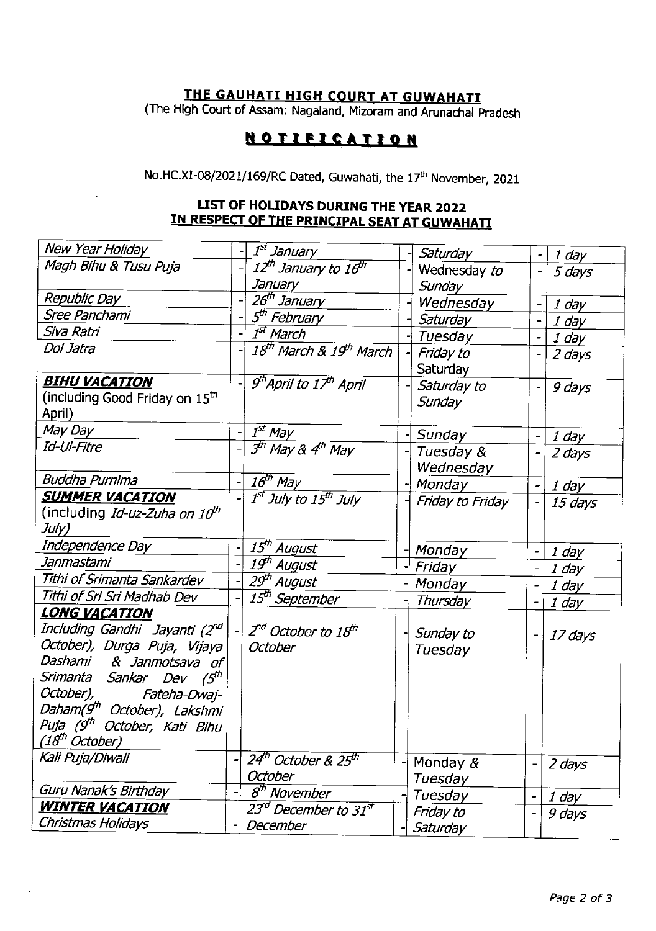## <u>THE GAUHATI HIGH COURT AT GUWAHATI</u>

(The High Court of Assam: Nagaland, Mizoram and Arunachal pradesh

## **NOTIFICATION**

No.HC.XI-08/2021/169/RC Dated, Guwahati, the 17<sup>th</sup> November, 2021

### LIST OF HOLTDAYS DURING THE YEAR 2022 IN RESPECT OF THE PRINCIPAL SEAT AT GUWAHATI

| New Year Holiday                                                                                                                                                                                                                                                                                                                  |  | I <sup>st</sup> January                                |  | Saturday               |  | 1 day   |  |
|-----------------------------------------------------------------------------------------------------------------------------------------------------------------------------------------------------------------------------------------------------------------------------------------------------------------------------------|--|--------------------------------------------------------|--|------------------------|--|---------|--|
| Magh Bihu & Tusu Puja                                                                                                                                                                                                                                                                                                             |  | 12 <sup>th</sup> January to 16 <sup>th</sup>           |  | Wednesday to           |  | 5 days  |  |
|                                                                                                                                                                                                                                                                                                                                   |  | January                                                |  | Sunday                 |  |         |  |
| Republic Day                                                                                                                                                                                                                                                                                                                      |  | 26 <sup>th</sup> January                               |  | Wednesday              |  | 1 day   |  |
| Sree Panchami                                                                                                                                                                                                                                                                                                                     |  | 5 <sup>th</sup> February                               |  | Saturday               |  | 1 day   |  |
| Siva Ratri                                                                                                                                                                                                                                                                                                                        |  | 1 <sup>st</sup> March                                  |  | Tuesday                |  | 1 day   |  |
| Dol Jatra                                                                                                                                                                                                                                                                                                                         |  | 18 <sup>th</sup> March & 19 <sup>th</sup> March        |  | Friday to<br>Saturday  |  | 2 days  |  |
| <b>BIHU VACATION</b>                                                                                                                                                                                                                                                                                                              |  | $9th$ April to 17 <sup>th</sup> April                  |  | Saturday to            |  | 9 days  |  |
| (including Good Friday on 15 <sup>th</sup><br>April)                                                                                                                                                                                                                                                                              |  |                                                        |  | Sunday                 |  |         |  |
| May Day                                                                                                                                                                                                                                                                                                                           |  | $I^{st}$ May                                           |  | Sunday                 |  | 1 day   |  |
| Id-Ul-Fitre                                                                                                                                                                                                                                                                                                                       |  | $3th$ May & 4 <sup>th</sup> May                        |  | Tuesday &<br>Wednesday |  |         |  |
| <b>Buddha Purnima</b>                                                                                                                                                                                                                                                                                                             |  | $16^{th}$ May                                          |  | Monday                 |  | 1 day   |  |
| <u>SUMMER VACATION</u><br>(including <i>Id-uz-Zuha on 10<sup>th</sup></i>                                                                                                                                                                                                                                                         |  | 1 <sup>st</sup> July to 15 <sup>th</sup> July          |  | Friday to Friday       |  | 15 days |  |
| July)                                                                                                                                                                                                                                                                                                                             |  |                                                        |  |                        |  |         |  |
| Independence Day                                                                                                                                                                                                                                                                                                                  |  | 15 <sup>th</sup> August                                |  | Monday                 |  | 1 day   |  |
| Janmastami                                                                                                                                                                                                                                                                                                                        |  | 19th August                                            |  | Friday                 |  | 1 day   |  |
| Tithi of Srimanta Sankardev                                                                                                                                                                                                                                                                                                       |  | 29 <sup>th</sup> August                                |  | Monday                 |  | 1 day   |  |
| Tithi of Sri Sri Madhab Dev                                                                                                                                                                                                                                                                                                       |  | 15 <sup>th</sup> September                             |  | Thursday               |  | 1 day   |  |
| <u>LONG VACATION</u><br>Including Gandhi Jayanti (2 <sup>nd</sup> )<br>October), Durga Puja, Vijaya<br>Dashami<br>& Janmotsava<br>of<br>Srimanta Sankar Dev (5 <sup>th</sup><br>October),<br>Fateha-Dwaj-<br>Daham(9 <sup>th</sup> October), Lakshmi<br>Puja (9 <sup>th</sup><br>October, Kati Bihu<br>(18 <sup>th</sup> October) |  | 2 <sup>nd</sup> October to 18 <sup>th</sup><br>October |  | Sunday to<br>Tuesday   |  | 17 days |  |
| Kali Puja/Diwali                                                                                                                                                                                                                                                                                                                  |  | 24th October & 25th<br>October                         |  | Monday $\&$<br>Tuesday |  | 2 days  |  |
| Guru Nanak's Birthday                                                                                                                                                                                                                                                                                                             |  | $8th$ November                                         |  | Tuesday                |  | 1 day   |  |
| <u>WINTER VACATION</u><br>Christmas Holidays                                                                                                                                                                                                                                                                                      |  | 23 <sup>d</sup> December to 31st<br>December           |  | Friday to<br>Saturday  |  | 9 days  |  |